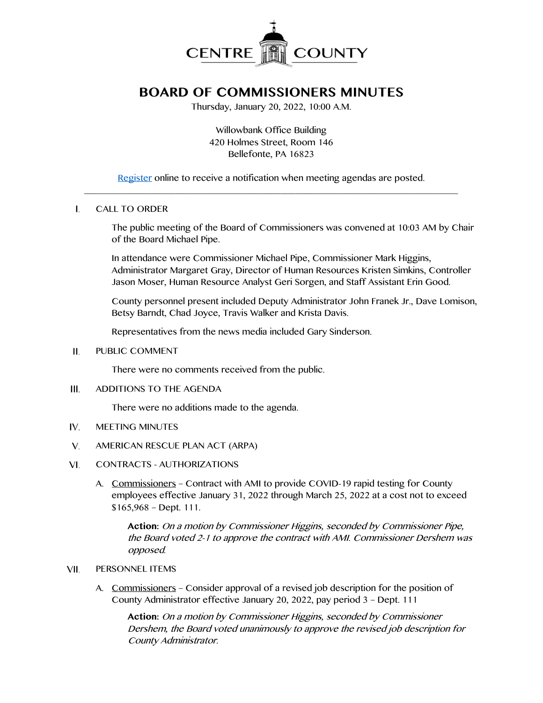

## **BOARD OF COMMISSIONERS MINUTES**

Thursday, January 20, 2022, 10:00 A.M.

Willowbank Office Building 420 Holmes Street, Room 146 Bellefonte, PA 16823

[Register](http://www.centrecountypa.gov/AgendaCenter) online to receive a notification when meeting agendas are posted.  $\overline{\phantom{a}}$  , and the contribution of the contribution of the contribution of the contribution of the contribution of the contribution of the contribution of the contribution of the contribution of the contribution of the

## $\mathbf{L}$ CALL TO ORDER

The public meeting of the Board of Commissioners was convened at 10:03 AM by Chair of the Board Michael Pipe.

In attendance were Commissioner Michael Pipe, Commissioner Mark Higgins, Administrator Margaret Gray, Director of Human Resources Kristen Simkins, Controller Jason Moser, Human Resource Analyst Geri Sorgen, and Staff Assistant Erin Good.

County personnel present included Deputy Administrator John Franek Jr., Dave Lomison, Betsy Barndt, Chad Joyce, Travis Walker and Krista Davis.

Representatives from the news media included Gary Sinderson.

 $II.$ PUBLIC COMMENT

There were no comments received from the public.

III. ADDITIONS TO THE AGENDA

There were no additions made to the agenda.

- $IV.$ MEETING MINUTES
- $V_{1}$ AMERICAN RESCUE PLAN ACT (ARPA)
- VI. CONTRACTS - AUTHORIZATIONS
	- A. Commissioners Contract with AMI to provide COVID-19 rapid testing for County employees effective January 31, 2022 through March 25, 2022 at a cost not to exceed \$165,968 – Dept. 111.

**Action:** On a motion by Commissioner Higgins, seconded by Commissioner Pipe, the Board voted 2-1 to approve the contract with AMI. Commissioner Dershem was opposed.

- VII. PERSONNEL ITEMS
	- A. Commissioners Consider approval of a revised job description for the position of County Administrator effective January 20, 2022, pay period 3 – Dept. 111

**Action:** On a motion by Commissioner Higgins, seconded by Commissioner Dershem, the Board voted unanimously to approve the revised job description for County Administrator.